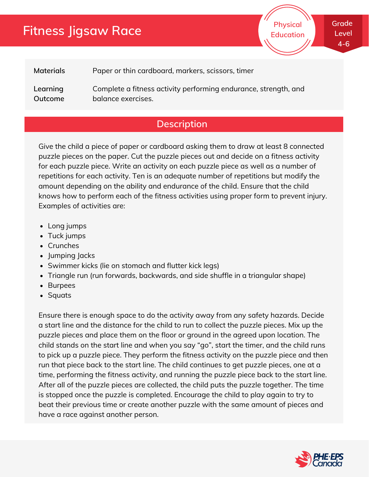# **Fitness Jigsaw Race**

**Physical Education** **Grade Level 4-6**

**Materials** Paper or thin cardboard, markers, scissors, timer

**Learning Outcome** Complete a fitness activity performing endurance, strength, and balance exercises.

### **Description**

Give the child a piece of paper or cardboard asking them to draw at least 8 connected puzzle pieces on the paper. Cut the puzzle pieces out and decide on a fitness activity for each puzzle piece. Write an activity on each puzzle piece as well as a number of repetitions for each activity. Ten is an adequate number of repetitions but modify the amount depending on the ability and endurance of the child. Ensure that the child knows how to perform each of the fitness activities using proper form to prevent injury. Examples of activities are:

- Long jumps
- Tuck jumps
- Crunches
- Jumping Jacks
- Swimmer kicks (lie on stomach and flutter kick legs)
- Triangle run (run forwards, backwards, and side shuffle in a triangular shape)
- Burpees
- Squats

Ensure there is enough space to do the activity away from any safety hazards. Decide a start line and the distance for the child to run to collect the puzzle pieces. Mix up the puzzle pieces and place them on the floor or ground in the agreed upon location. The child stands on the start line and when you say "go", start the timer, and the child runs to pick up a puzzle piece. They perform the fitness activity on the puzzle piece and then run that piece back to the start line. The child continues to get puzzle pieces, one at a time, performing the fitness activity, and running the puzzle piece back to the start line. After all of the puzzle pieces are collected, the child puts the puzzle together. The time is stopped once the puzzle is completed. Encourage the child to play again to try to beat their previous time or create another puzzle with the same amount of pieces and have a race against another person.

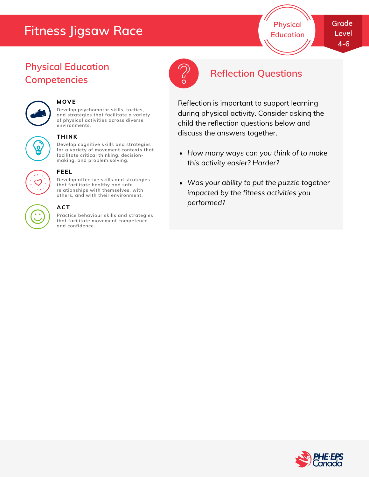# **Fitness Jigsaw Race**

**Physical Education**

## **Physical Education Competencies**



#### **MOVE**

**Develop psychomotor skills, tactics, and strategies that facilitate a variety of physical activities across diverse environments.**

#### **THINK**

**Develop cognitive skills and strategies for a variety of movement contexts that facilitate critical thinking, decision making, and problem solving.**



#### **FEEL**

**Develop affective skills and strategies that facilitate healthy and safe relationships with themselves, with others, and with their environment.**

#### **ACT**

**Practice behaviour skills and strategies that facilitate movement competence and confidence.**



## **Reflection Questions**

Reflection is important to support learning during physical activity. Consider asking the child the reflection questions below and discuss the answers together.

- *How many ways can you think of to make this activity easier? Harder?*
- *Was your ability to put the puzzle together impacted by the fitness activities you performed?*